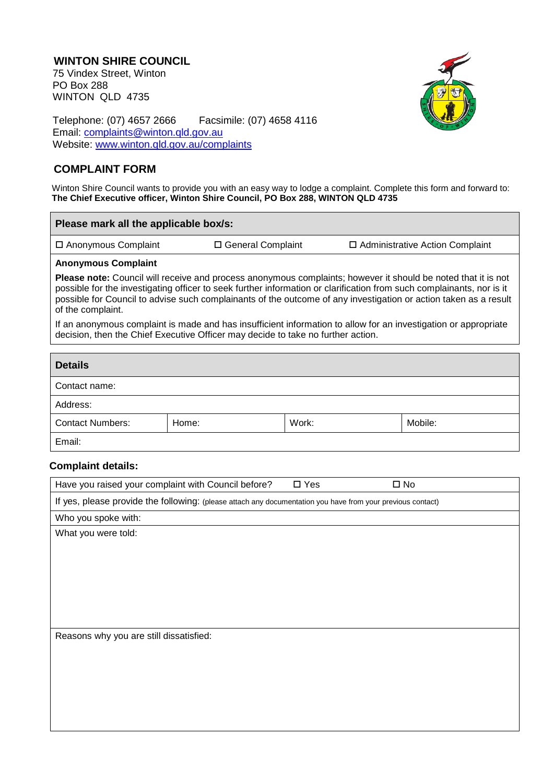## **WINTON SHIRE COUNCIL** 75 Vindex Street, Winton PO Box 288 WINTON QLD 4735



Telephone: (07) 4657 2666 Facsimile: (07) 4658 4116 Email: [complaints@winton.qld.gov.au](mailto:complaints@winton.qld.gov.au) Website: [www.winton.qld.gov.au/complaints](http://www.winton.qld.gov.au/complaints)

## **COMPLAINT FORM**

Winton Shire Council wants to provide you with an easy way to lodge a complaint. Complete this form and forward to: **The Chief Executive officer, Winton Shire Council, PO Box 288, WINTON QLD 4735**

| Please mark all the applicable box/s:                                                                                                                                                                                                                                                                                                                                                  |                     |                                        |  |  |  |
|----------------------------------------------------------------------------------------------------------------------------------------------------------------------------------------------------------------------------------------------------------------------------------------------------------------------------------------------------------------------------------------|---------------------|----------------------------------------|--|--|--|
| $\Box$ Anonymous Complaint                                                                                                                                                                                                                                                                                                                                                             | □ General Complaint | $\Box$ Administrative Action Complaint |  |  |  |
| <b>Anonymous Complaint</b>                                                                                                                                                                                                                                                                                                                                                             |                     |                                        |  |  |  |
| <b>Please note:</b> Council will receive and process anonymous complaints; however it should be noted that it is not<br>possible for the investigating officer to seek further information or clarification from such complainants, nor is it<br>possible for Council to advise such complainants of the outcome of any investigation or action taken as a result<br>of the complaint. |                     |                                        |  |  |  |
| If an anonymous complaint is made and has insufficient information to allow for an investigation or appropriate<br>decision, then the Chief Executive Officer may decide to take no further action.                                                                                                                                                                                    |                     |                                        |  |  |  |
|                                                                                                                                                                                                                                                                                                                                                                                        |                     |                                        |  |  |  |
| <b>Details</b>                                                                                                                                                                                                                                                                                                                                                                         |                     |                                        |  |  |  |

| <b>Details</b>          |       |       |         |
|-------------------------|-------|-------|---------|
| Contact name:           |       |       |         |
| Address:                |       |       |         |
| <b>Contact Numbers:</b> | Home: | Work: | Mobile: |
| Email:                  |       |       |         |

## **Complaint details:**

| Have you raised your complaint with Council before?                                                         | $\square$ Yes | $\square$ No |  |  |
|-------------------------------------------------------------------------------------------------------------|---------------|--------------|--|--|
| If yes, please provide the following: (please attach any documentation you have from your previous contact) |               |              |  |  |
| Who you spoke with:                                                                                         |               |              |  |  |
| What you were told:                                                                                         |               |              |  |  |
|                                                                                                             |               |              |  |  |
|                                                                                                             |               |              |  |  |
|                                                                                                             |               |              |  |  |
|                                                                                                             |               |              |  |  |
|                                                                                                             |               |              |  |  |
|                                                                                                             |               |              |  |  |
| Reasons why you are still dissatisfied:                                                                     |               |              |  |  |
|                                                                                                             |               |              |  |  |
|                                                                                                             |               |              |  |  |
|                                                                                                             |               |              |  |  |
|                                                                                                             |               |              |  |  |
|                                                                                                             |               |              |  |  |
|                                                                                                             |               |              |  |  |